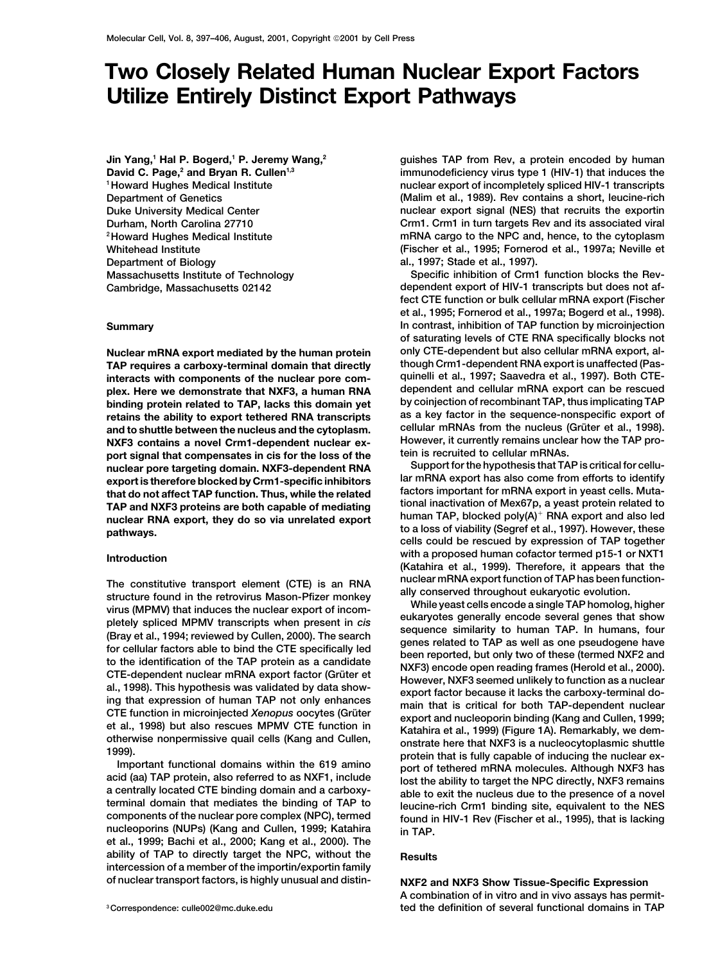# **Two Closely Related Human Nuclear Export Factors Utilize Entirely Distinct Export Pathways**

**Jin Yang,1 Hal P. Bogerd,1 P. Jeremy Wang,2** David C. Page,<sup>2</sup> and Bryan R. Cullen<sup>1,3</sup> **1Howard Hughes Medical Institute Department of Biology al., 1997; Stade et al., 1997).**

**TAP requires a carboxy-terminal domain that directly NXF3** contains a novel Crm1-dependent nuclear ex-<br> **NAT5** contains a novel Crm1-dependent nuclear ex-<br>
tein is recruited to cellular mRNAs. **port signal that compensates in cis for the loss of the the lost of cellular mRNAs.**<br>**puclear pore targeting domain NXE3-dependent RNA** Support for the hypothesis that TAP is critical for cellu**nuclear pore targeting domain. NXF3-dependent RNA Support for the hypothesis that TAP is critical for cellular mRNA export has also come from efforts to identify export is therefore blocked by Crm1-specific inhibitors factors important for mRNA export in yeast cells. Muta-**<br>**TAP and NXE3 proteins are both canable of mediating** tional inactivation of Mex67p, a yeast protein related to

**et al., 1999; Bachi et al., 2000; Kang et al., 2000). The ability of TAP to directly target the NPC, without the Results intercession of a member of the importin/exportin family of nuclear transport factors, is highly unusual and distin- NXF2 and NXF3 Show Tissue-Specific Expression**

**guishes TAP from Rev, a protein encoded by human immunodeficiency virus type 1 (HIV-1) that induces the nuclear export of incompletely spliced HIV-1 transcripts Department of Genetics (Malim et al., 1989). Rev contains a short, leucine-rich Duke University Medical Center nuclear export signal (NES) that recruits the exportin Durham, North Carolina 27710 Crm1. Crm1 in turn targets Rev and its associated viral 2Howard Hughes Medical Institute mRNA cargo to the NPC and, hence, to the cytoplasm Whitehead Institute (Fischer et al., 1995; Fornerod et al., 1997a; Neville et**

**Massachusetts Institute of Technology Specific inhibition of Crm1 function blocks the Rev-Cambridge, Massachusetts 02142 dependent export of HIV-1 transcripts but does not affect CTE function or bulk cellular mRNA export (Fischer et al., 1995; Fornerod et al., 1997a; Bogerd et al., 1998). Summary In contrast, inhibition of TAP function by microinjection of saturating levels of CTE RNA specifically blocks not Nuclear mRNA export mediated by the human protein only CTE-dependent but also cellular mRNA export, alinteracts with components of the nuclear pore com-** quinelli et al., 1997; Saavedra et al., 1997). Both CTE-<br>
plex. Here we demonstrate that NXF3, a human RNA dependent and cellular mRNA export can be rescued **plex. Here we demonstrate that NXF3, a human RNA dependent and cellular mRNA export can be rescued binding protein related to TAP, lacks this domain yet by coinjection of recombinant TAP, thus implicating TAP as a key factor in the sequence-nonspecific export of retains the ability to export tethered RNA transcripts** and to shuttle between the nucleus and the cytoplasm. Cellular mRNAs from the nucleus (Grüter et al., 1998).<br>NXE3 contains a novel Crm1-denendent nuclear ex. However, it currently remains unclear how the TAP pro-

TAP and NXF3 proteins are both capable of mediating<br>nuclear RNA export, they do so via unrelated export<br>pathways.<br>pathways.<br>cells could be rescued by expression of TAP together **with a proposed human cofactor termed p15-1 or NXT1 Introduction (Katahira et al., 1999). Therefore, it appears that the**

The constitutive transport element (CTE) is an RNA nuclear mRNA export function of TAP has been function-<br>structure found in the retrovirus Mason-Pitzer monkey direct and throughout eukarytote evolution.<br>structure found i **nucleoporins (NUPs) (Kang and Cullen, 1999; Katahira in TAP.**

**A combination of in vitro and in vivo assays has permit- <sup>3</sup> Correspondence: culle002@mc.duke.edu ted the definition of several functional domains in TAP**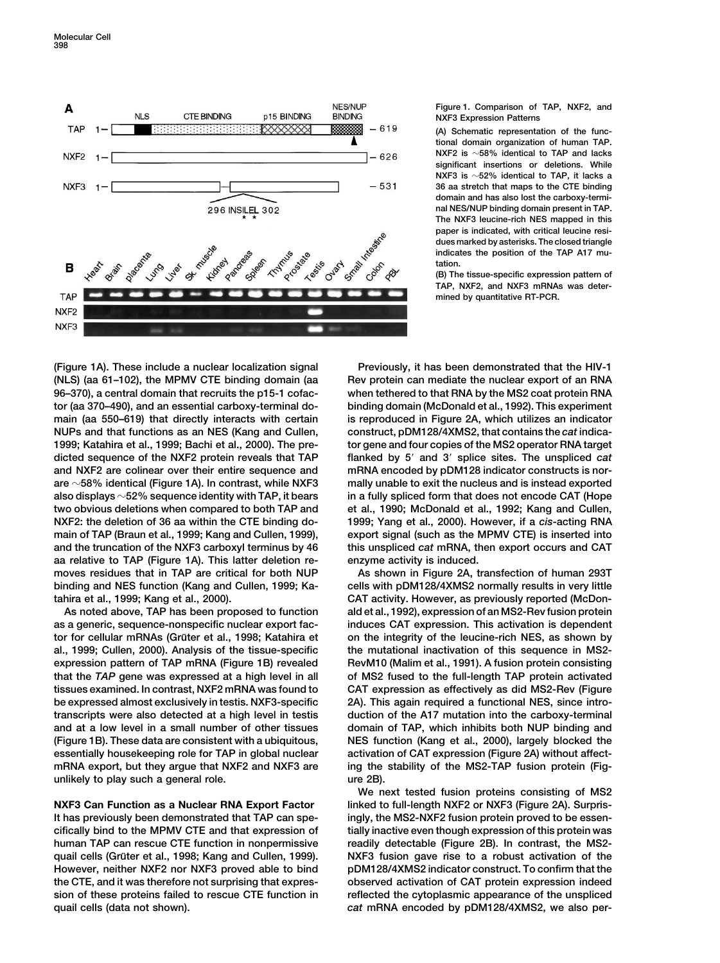

**Figure 1. Comparison of TAP, NXF2, and NXF3 Expression Patterns**

**(A) Schematic representation of the functional domain organization of human TAP. NXF2 is 58% identical to TAP and lacks significant insertions or deletions. While NXF3 is 52% identical to TAP, it lacks a 36 aa stretch that maps to the CTE binding domain and has also lost the carboxy-terminal NES/NUP binding domain present in TAP. The NXF3 leucine-rich NES mapped in this paper is indicated, with critical leucine residues marked by asterisks. The closed triangle indicates the position of the TAP A17 mutation.**

**(B) The tissue-specific expression pattern of TAP, NXF2, and NXF3 mRNAs was determined by quantitative RT-PCR.**

**(Figure 1A). These include a nuclear localization signal Previously, it has been demonstrated that the HIV-1 (NLS) (aa 61–102), the MPMV CTE binding domain (aa Rev protein can mediate the nuclear export of an RNA 96–370), a central domain that recruits the p15-1 cofac- when tethered to that RNA by the MS2 coat protein RNA tor (aa 370–490), and an essential carboxy-terminal do- binding domain (McDonald et al., 1992). This experiment main (aa 550–619) that directly interacts with certain is reproduced in Figure 2A, which utilizes an indicator NUPs and that functions as an NES (Kang and Cullen, construct, pDM128/4XMS2, that contains the** *cat* **indica-1999; Katahira et al., 1999; Bachi et al., 2000). The pre- tor gene and four copies of the MS2 operator RNA target dicted sequence of the NXF2 protein reveals that TAP and NXF2 are colinear over their entire sequence and mRNA encoded by pDM128 indicator constructs is norare 58% identical (Figure 1A). In contrast, while NXF3 mally unable to exit the nucleus and is instead exported also displays 52% sequence identity with TAP, it bears in a fully spliced form that does not encode CAT (Hope two obvious deletions when compared to both TAP and et al., 1990; McDonald et al., 1992; Kang and Cullen, NXF2: the deletion of 36 aa within the CTE binding do- 1999; Yang et al., 2000). However, if a** *cis***-acting RNA main of TAP (Braun et al., 1999; Kang and Cullen, 1999), export signal (such as the MPMV CTE) is inserted into and the truncation of the NXF3 carboxyl terminus by 46 this unspliced** *cat* **mRNA, then export occurs and CAT aa relative to TAP (Figure 1A). This latter deletion re- enzyme activity is induced. moves residues that in TAP are critical for both NUP As shown in Figure 2A, transfection of human 293T binding and NES function (Kang and Cullen, 1999; Ka- cells with pDM128/4XMS2 normally results in very little tahira et al., 1999; Kang et al., 2000). CAT activity. However, as previously reported (McDon-**

**as a generic, sequence-nonspecific nuclear export fac- induces CAT expression. This activation is dependent tor for cellular mRNAs (Gru¨ter et al., 1998; Katahira et on the integrity of the leucine-rich NES, as shown by al., 1999; Cullen, 2000). Analysis of the tissue-specific the mutational inactivation of this sequence in MS2 expression pattern of TAP mRNA (Figure 1B) revealed RevM10 (Malim et al., 1991). A fusion protein consisting that the** *TAP* **gene was expressed at a high level in all of MS2 fused to the full-length TAP protein activated tissues examined. In contrast, NXF2 mRNA was found to CAT expression as effectively as did MS2-Rev (Figure** be expressed almost exclusively in testis. NXF3-specific 2A). This again required a functional NES, since intro**transcripts were also detected at a high level in testis duction of the A17 mutation into the carboxy-terminal and at a low level in a small number of other tissues domain of TAP, which inhibits both NUP binding and (Figure 1B). These data are consistent with a ubiquitous, NES function (Kang et al., 2000), largely blocked the essentially housekeeping role for TAP in global nuclear activation of CAT expression (Figure 2A) without affectmRNA export, but they argue that NXF2 and NXF3 are ing the stability of the MS2-TAP fusion protein (Figunlikely to play such a general role. ure 2B).**

**It has previously been demonstrated that TAP can spe- ingly, the MS2-NXF2 fusion protein proved to be essencifically bind to the MPMV CTE and that expression of tially inactive even though expression of this protein was human TAP can rescue CTE function in nonpermissive readily detectable (Figure 2B). In contrast, the MS2 quail cells (Gru¨ter et al., 1998; Kang and Cullen, 1999). NXF3 fusion gave rise to a robust activation of the However, neither NXF2 nor NXF3 proved able to bind pDM128/4XMS2 indicator construct. To confirm that the the CTE, and it was therefore not surprising that expres- observed activation of CAT protein expression indeed sion of these proteins failed to rescue CTE function in reflected the cytoplasmic appearance of the unspliced**

**and 3**- **splice sites. The unspliced** *cat*

**As noted above, TAP has been proposed to function ald et al., 1992), expression of an MS2-Rev fusion protein**

**We next tested fusion proteins consisting of MS2 NXF3 Can Function as a Nuclear RNA Export Factor linked to full-length NXF2 or NXF3 (Figure 2A). Surprisquail cells (data not shown).** *cat* **mRNA encoded by pDM128/4XMS2, we also per-**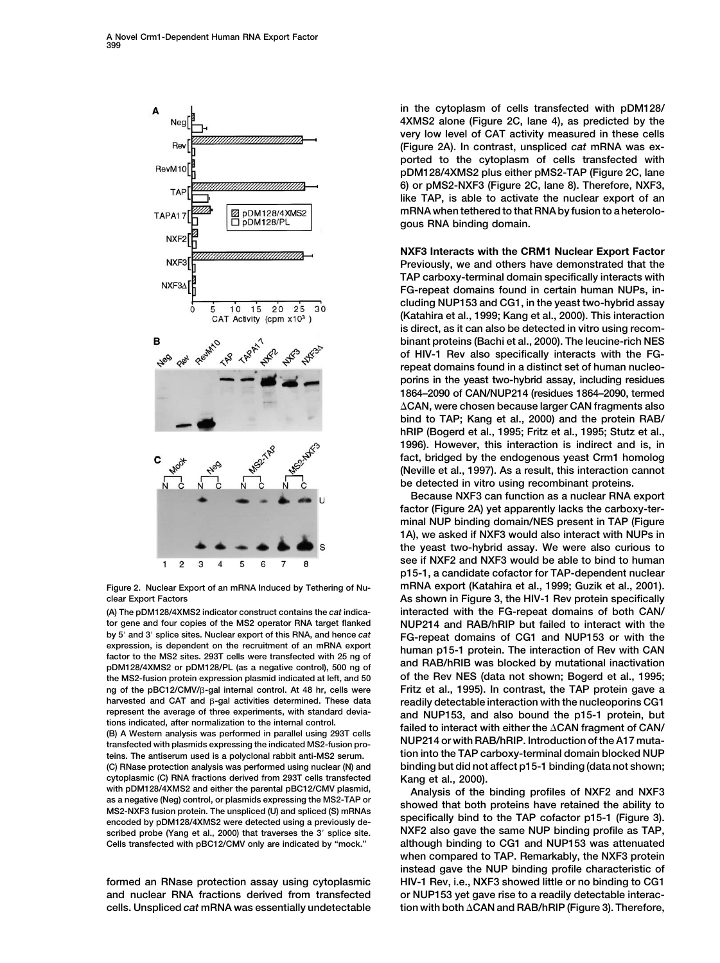

**tor gene and four copies of the MS2 operator RNA target flanked NUP214 and RAB/hRIP but failed to interact with the by 5**- **and 3**ng of the pBC12/CMV/ $\beta$ -gal internal control. At 48 hr, cells were **harvested and CAT and -gal activities determined. These data readily detectable interaction with the nucleoporins CG1**

**teins. The antiserum used is a polyclonal rabbit anti-MS2 serum. tion into the TAP carboxy-terminal domain blocked NUP (C) RNase protection analysis was performed using nuclear (N) and binding but did not affect p15-1 binding (data not shown; cytoplasmic (C) RNA fractions derived from 293T cells transfected Kang et al., 2000).** with pDM128/4XMS2 and either the parental pBC12/CMV plasmid,<br>as a negative (Neg) control, or plasmids expressing the MS2-TAP or<br>MS2-NAF3 than a spliced (U) and spliced (S) mRNAs<br>encoded by pDM128/4XMS2 were detected using scribed probe (Yang et al., 2000) that traverses the 3' splice site. **Cells transfected with pBC12/CMV only are indicated by "mock." although binding to CG1 and NUP153 was attenuated**

**and nuclear RNA fractions derived from transfected or NUP153 yet gave rise to a readily detectable interaccells. Unspliced** *cat* **mRNA was essentially undetectable tion with both CAN and RAB/hRIP (Figure 3). Therefore,**

**in the cytoplasm of cells transfected with pDM128/ 4XMS2 alone (Figure 2C, lane 4), as predicted by the very low level of CAT activity measured in these cells (Figure 2A). In contrast, unspliced** *cat* **mRNA was exported to the cytoplasm of cells transfected with pDM128/4XMS2 plus either pMS2-TAP (Figure 2C, lane 6) or pMS2-NXF3 (Figure 2C, lane 8). Therefore, NXF3, like TAP, is able to activate the nuclear export of an mRNA when tethered to that RNA by fusion to a heterologous RNA binding domain.**

**NXF3 Interacts with the CRM1 Nuclear Export Factor Previously, we and others have demonstrated that the TAP carboxy-terminal domain specifically interacts with FG-repeat domains found in certain human NUPs, including NUP153 and CG1, in the yeast two-hybrid assay (Katahira et al., 1999; Kang et al., 2000). This interaction is direct, as it can also be detected in vitro using recombinant proteins (Bachi et al., 2000). The leucine-rich NES of HIV-1 Rev also specifically interacts with the FGrepeat domains found in a distinct set of human nucleoporins in the yeast two-hybrid assay, including residues 1864–2090 of CAN/NUP214 (residues 1864–2090, termed CAN, were chosen because larger CAN fragments also bind to TAP; Kang et al., 2000) and the protein RAB/ hRIP (Bogerd et al., 1995; Fritz et al., 1995; Stutz et al., 1996). However, this interaction is indirect and is, in fact, bridged by the endogenous yeast Crm1 homolog (Neville et al., 1997). As a result, this interaction cannot be detected in vitro using recombinant proteins.**

**Because NXF3 can function as a nuclear RNA export factor (Figure 2A) yet apparently lacks the carboxy-terminal NUP binding domain/NES present in TAP (Figure 1A), we asked if NXF3 would also interact with NUPs in the yeast two-hybrid assay. We were also curious to see if NXF2 and NXF3 would be able to bind to human p15-1, a candidate cofactor for TAP-dependent nuclear Figure 2. Nuclear Export of an mRNA Induced by Tethering of Nu- mRNA export (Katahira et al., 1999; Guzik et al., 2001). clear Export Factors As shown in Figure 3, the HIV-1 Rev protein specifically (A) The pDM128/4XMS2 indicator construct contains the** *cat* **indica- interacted with the FG-repeat domains of both CAN/** by 5' and 3' splice sites. Nuclear export of this HNA, and nence car<br>expression, is dependent on the recruitment of an mRNA export<br>factor to the MS2 sites. 293T cells were transfected with 25 ng of<br>pDM128/4XMS2 or pDM128/P the MS2-fusion protein expression plasmid indicated at left, and 50 of the Rev NES (data not shown; Bogerd et al., 1995;<br>
ng of the pBC12/CMV/<sub>B-gal</sub> internal control. At 48 hr, cells were Fritz et al., 1995). In contrast, represent the average of three experiments, with standard devia-<br>tions indicated, after normalization to the internal control.<br>(B) A Western analysis was performed in parallel using 293T cells<br>transfected with plasmids ex

**NXF2 also gave the same NUP binding profile as TAP, when compared to TAP. Remarkably, the NXF3 protein instead gave the NUP binding profile characteristic of formed an RNase protection assay using cytoplasmic HIV-1 Rev, i.e., NXF3 showed little or no binding to CG1**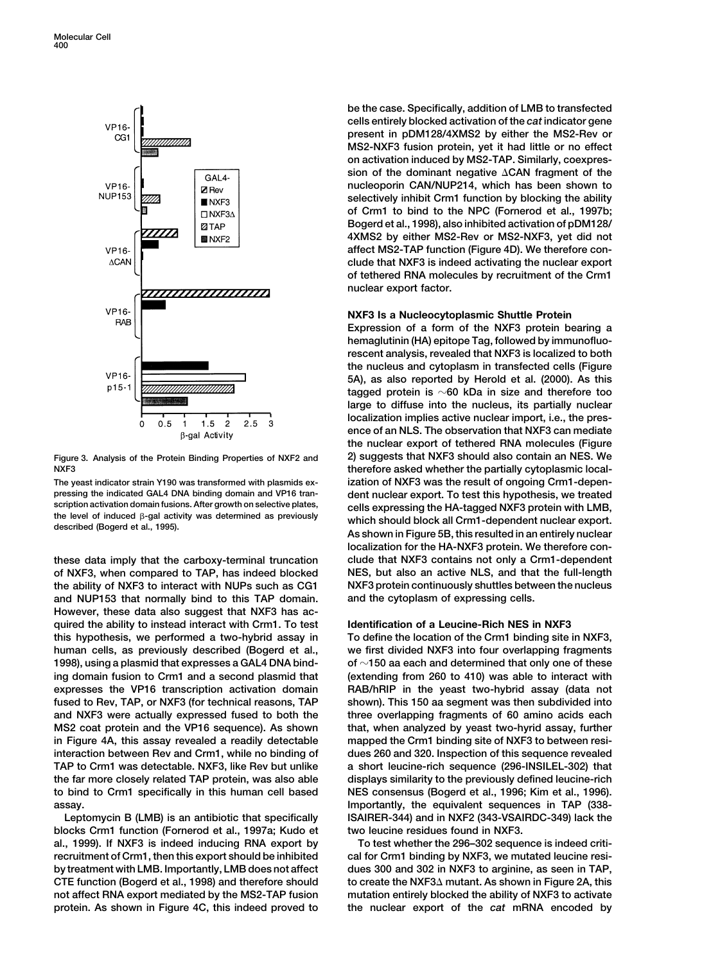

**pressing the indicated GAL4 DNA binding domain and VP16 tran-**<br>**dent nuclear export.** To test this hypothesis, we treated<br>calls expressing the HA-tagged NYE3 protein with LMR

**of NXF3, when compared to TAP, has indeed blocked NES, but also an active NLS, and that the full-length the ability of NXF3 to interact with NUPs such as CG1 NXF3 protein continuously shuttles between the nucleus** and NUP153 that normally bind to this TAP domain. **However, these data also suggest that NXF3 has acquired the ability to instead interact with Crm1. To test Identification of a Leucine-Rich NES in NXF3 this hypothesis, we performed a two-hybrid assay in To define the location of the Crm1 binding site in NXF3, human cells, as previously described (Bogerd et al., we first divided NXF3 into four overlapping fragments 1998), using a plasmid that expresses a GAL4 DNA bind- of 150 aa each and determined that only one of these ing domain fusion to Crm1 and a second plasmid that (extending from 260 to 410) was able to interact with expresses the VP16 transcription activation domain RAB/hRIP in the yeast two-hybrid assay (data not fused to Rev, TAP, or NXF3 (for technical reasons, TAP shown). This 150 aa segment was then subdivided into and NXF3 were actually expressed fused to both the three overlapping fragments of 60 amino acids each MS2 coat protein and the VP16 sequence). As shown that, when analyzed by yeast two-hyrid assay, further in Figure 4A, this assay revealed a readily detectable mapped the Crm1 binding site of NXF3 to between resiinteraction between Rev and Crm1, while no binding of dues 260 and 320. Inspection of this sequence revealed TAP to Crm1 was detectable. NXF3, like Rev but unlike a short leucine-rich sequence (296-INSILEL-302) that the far more closely related TAP protein, was also able displays similarity to the previously defined leucine-rich to bind to Crm1 specifically in this human cell based NES consensus (Bogerd et al., 1996; Kim et al., 1996). assay. Importantly, the equivalent sequences in TAP (338-**

**blocks Crm1 function (Fornerod et al., 1997a; Kudo et two leucine residues found in NXF3. al., 1999). If NXF3 is indeed inducing RNA export by To test whether the 296–302 sequence is indeed critirecruitment of Crm1, then this export should be inhibited cal for Crm1 binding by NXF3, we mutated leucine resiby treatment with LMB. Importantly, LMB does not affect dues 300 and 302 in NXF3 to arginine, as seen in TAP, CTE function (Bogerd et al., 1998) and therefore should to create the NXF3 mutant. As shown in Figure 2A, this not affect RNA export mediated by the MS2-TAP fusion mutation entirely blocked the ability of NXF3 to activate protein. As shown in Figure 4C, this indeed proved to the nuclear export of the** *cat* **mRNA encoded by**

**be the case. Specifically, addition of LMB to transfected cells entirely blocked activation of the** *cat* **indicator gene present in pDM128/4XMS2 by either the MS2-Rev or MS2-NXF3 fusion protein, yet it had little or no effect on activation induced by MS2-TAP. Similarly, coexpression of the dominant negative CAN fragment of the nucleoporin CAN/NUP214, which has been shown to selectively inhibit Crm1 function by blocking the ability of Crm1 to bind to the NPC (Fornerod et al., 1997b; Bogerd et al., 1998), also inhibited activation of pDM128/ 4XMS2 by either MS2-Rev or MS2-NXF3, yet did not affect MS2-TAP function (Figure 4D). We therefore conclude that NXF3 is indeed activating the nuclear export of tethered RNA molecules by recruitment of the Crm1 nuclear export factor.**

## **NXF3 Is a Nucleocytoplasmic Shuttle Protein**

**Expression of a form of the NXF3 protein bearing a hemaglutinin (HA) epitope Tag, followed by immunofluorescent analysis, revealed that NXF3 is localized to both the nucleus and cytoplasm in transfected cells (Figure 5A), as also reported by Herold et al. (2000). As this tagged protein is 60 kDa in size and therefore too large to diffuse into the nucleus, its partially nuclear localization implies active nuclear import, i.e., the presence of an NLS. The observation that NXF3 can mediate the nuclear export of tethered RNA molecules (Figure Figure 3. Analysis of the Protein Binding Properties of NXF2 and 2) suggests that NXF3 should also contain an NES. We** therefore asked whether the partially cytoplasmic local-**The yeast indicator strain Y190 was transformed with plasmids ex- ization of NXF3 was the result of ongoing Crm1-depen**scription activation domain fusions. After growth on selective plates,<br>
the level of induced  $\beta$ -gal activity was determined as previously<br>
described (Bogerd et al., 1995).<br>
As shown in Figure 5B, this resulted in an enti **localization for the HA-NXF3 protein. We therefore conthese data imply that the carboxy-terminal truncation clude that NXF3 contains not only a Crm1-dependent**

**Leptomycin B (LMB) is an antibiotic that specifically ISAIRER-344) and in NXF2 (343-VSAIRDC-349) lack the**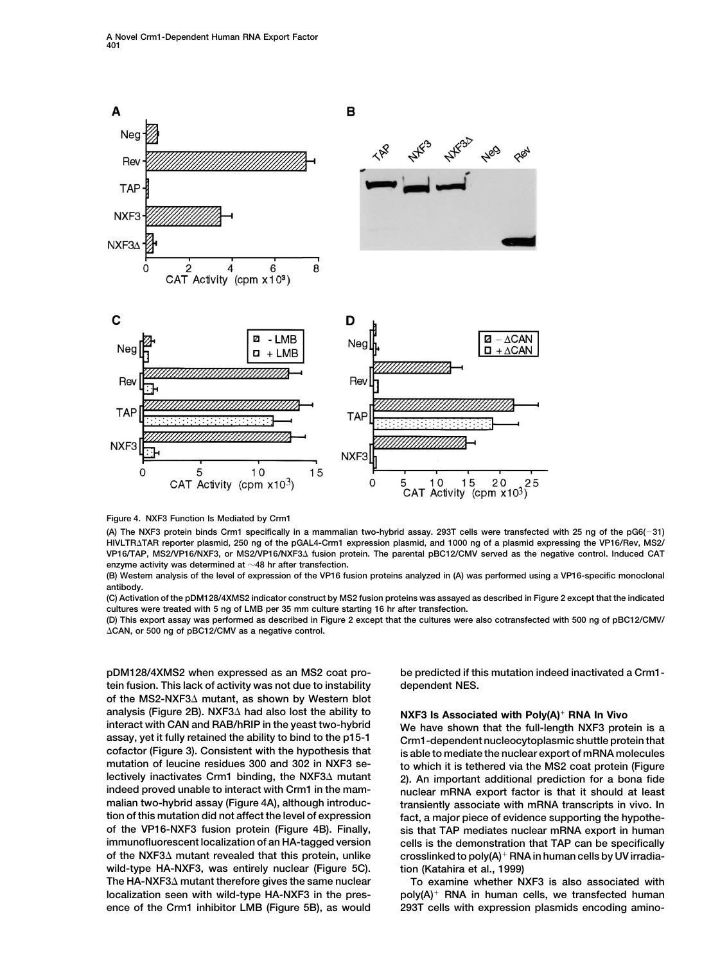

**Figure 4. NXF3 Function Is Mediated by Crm1**

**(A) The NXF3 protein binds Crm1 specifically in a mammalian two-hybrid assay. 293T cells were transfected with 25 ng of the pG6(31) HIVLTRTAR reporter plasmid, 250 ng of the pGAL4-Crm1 expression plasmid, and 1000 ng of a plasmid expressing the VP16/Rev, MS2/ VP16/TAP, MS2/VP16/NXF3, or MS2/VP16/NXF3 fusion protein. The parental pBC12/CMV served as the negative control. Induced CAT enzyme activity was determined at 48 hr after transfection.**

**(B) Western analysis of the level of expression of the VP16 fusion proteins analyzed in (A) was performed using a VP16-specific monoclonal antibody.**

**(C) Activation of the pDM128/4XMS2 indicator construct by MS2 fusion proteins was assayed as described in Figure 2 except that the indicated cultures were treated with 5 ng of LMB per 35 mm culture starting 16 hr after transfection.**

**(D) This export assay was performed as described in Figure 2 except that the cultures were also cotransfected with 500 ng of pBC12/CMV/ CAN, or 500 ng of pBC12/CMV as a negative control.**

**pDM128/4XMS2 when expressed as an MS2 coat pro- be predicted if this mutation indeed inactivated a Crm1 tein fusion. This lack of activity was not due to instability dependent NES. of the MS2-NXF3 mutant, as shown by Western blot** analysis (Figure 2B). NXF3∆ had also lost the ability to **NXF3 Is Associated with Poly(A)<sup>+</sup> RNA In Vivo** interact with CAN and RAB/hRIP in the yeast two-hybrid We have shown that the full-length NXF3 prot **interact with CAN and RAB/hRIP in the yeast two-hybrid We have shown that the full-length NXF3 protein is a assay, yet it fully retained the ability to bind to the p15-1 Crm1-dependent nucleocytoplasmic shuttle protein that cofactor (Figure 3). Consistent with the hypothesis that is able to mediate the nuclear export of mRNA molecules mutation of leucine residues 300 and 302 in NXF3 se- to which it is tethered via the MS2 coat protein (Figure lectively inactivates Crm1 binding, the NXF3 mutant 2). An important additional prediction for a bona fide indeed proved unable to interact with Crm1 in the mam- nuclear mRNA export factor is that it should at least tion of this mutation did not affect the level of expression fact, a major piece of evidence supporting the hypotheof the VP16-NXF3 fusion protein (Figure 4B). Finally, sis that TAP mediates nuclear mRNA export in human immunofluorescent localization of an HA-tagged version cells is the demonstration that TAP can be specifically of the NXF3 mutant revealed that this protein, unlike crosslinked to poly(A) RNA in human cells by UV irradiawild-type HA-NXF3, was entirely nuclear (Figure 5C). tion (Katahira et al., 1999) The HA-NXF3 mutant therefore gives the same nuclear To examine whether NXF3 is also associated with localization seen with wild-type HA-NXF3 in the pres- poly(A) RNA in human cells, we transfected human ence of the Crm1 inhibitor LMB (Figure 5B), as would 293T cells with expression plasmids encoding amino-**

transiently associate with mRNA transcripts in vivo. In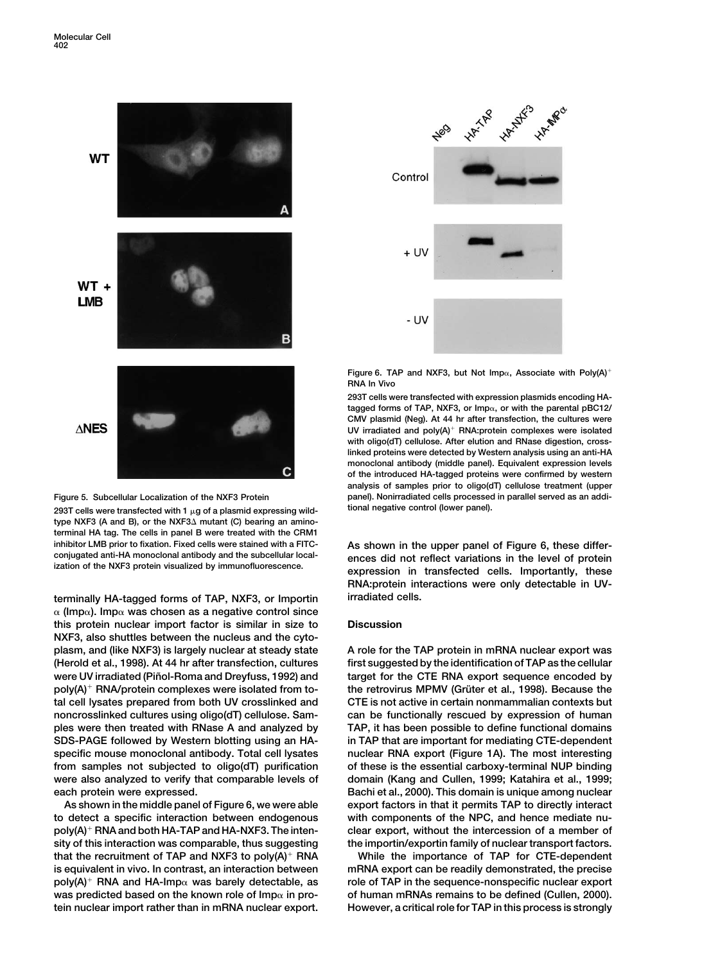



**irradiated cells. terminally HA-tagged forms of TAP, NXF3, or Importin**  $\alpha$  (Imp $\alpha$ ). Imp $\alpha$  was chosen as a negative control since **this protein nuclear import factor is similar in size to Discussion NXF3, also shuttles between the nucleus and the cytoplasm, and (like NXF3) is largely nuclear at steady state A role for the TAP protein in mRNA nuclear export was (Herold et al., 1998). At 44 hr after transfection, cultures first suggested by the identification of TAP as the cellular** were UV irradiated (Piñol-Roma and Dreyfuss, 1992) and target for the CTE RNA export sequence encoded by poly(A)<sup>+</sup> RNA/protein complexes were isolated from to-<br>
the retrovirus MPMV (Grüter et al., 1998). Because the **tal cell lysates prepared from both UV crosslinked and CTE is not active in certain nonmammalian contexts but noncrosslinked cultures using oligo(dT) cellulose. Sam- can be functionally rescued by expression of human ples were then treated with RNase A and analyzed by TAP, it has been possible to define functional domains SDS-PAGE followed by Western blotting using an HA- in TAP that are important for mediating CTE-dependent specific mouse monoclonal antibody. Total cell lysates nuclear RNA export (Figure 1A). The most interesting from samples not subjected to oligo(dT) purification of these is the essential carboxy-terminal NUP binding** were also analyzed to verify that comparable levels of domain (Kang and Cullen, 1999; Katahira et al., 1999; **each protein were expressed. Bachi et al., 2000). This domain is unique among nuclear**

**to detect a specific interaction between endogenous with components of the NPC, and hence mediate nupoly(A) RNA and both HA-TAP and HA-NXF3. The inten- clear export, without the intercession of a member of sity of this interaction was comparable, thus suggesting the importin/exportin family of nuclear transport factors. that the recruitment of TAP and NXF3 to poly(A) RNA While the importance of TAP for CTE-dependent is equivalent in vivo. In contrast, an interaction between mRNA export can be readily demonstrated, the precise** poly(A)<sup>+</sup> RNA and HA-Imp<sub>α</sub> was barely detectable, as role of TAP in the sequence-nonspecific nuclear export was predicted based on the known role of Imp<sub><sup> $\alpha$ </sub> in pro-<br>
of human mRNAs remains to be defined (Cullen, 2000).</sub></sup> **tein nuclear import rather than in mRNA nuclear export. However, a critical role for TAP in this process is strongly**



**Figure 6. TAP and NXF3, but Not Imp, Associate with Poly(A) RNA In Vivo**

**293T cells were transfected with expression plasmids encoding HA**tagged forms of TAP, NXF3, or  $Imp<sub>α</sub>$ , or with the parental  $pBC12/$ **CMV plasmid (Neg). At 44 hr after transfection, the cultures were UV irradiated and poly(A) RNA:protein complexes were isolated with oligo(dT) cellulose. After elution and RNase digestion, crosslinked proteins were detected by Western analysis using an anti-HA monoclonal antibody (middle panel). Equivalent expression levels of the introduced HA-tagged proteins were confirmed by western analysis of samples prior to oligo(dT) cellulose treatment (upper Figure 5. Subcellular Localization of the NXF3 Protein panel). Nonirradiated cells processed in parallel served as an addi-**

**inhibitor LMB prior to fixation. Fixed cells were stained with a FITC- As shown in the upper panel of Figure 6, these differ**conjugated anti-HA monoclonal antibody and the subcellular local-<br>ization of the NXF3 protein visualized by immunofluorescence.<br>expression in transfected cells. Importantly, these **RNA:protein interactions were only detectable in UV-**

**As shown in the middle panel of Figure 6, we were able export factors in that it permits TAP to directly interact**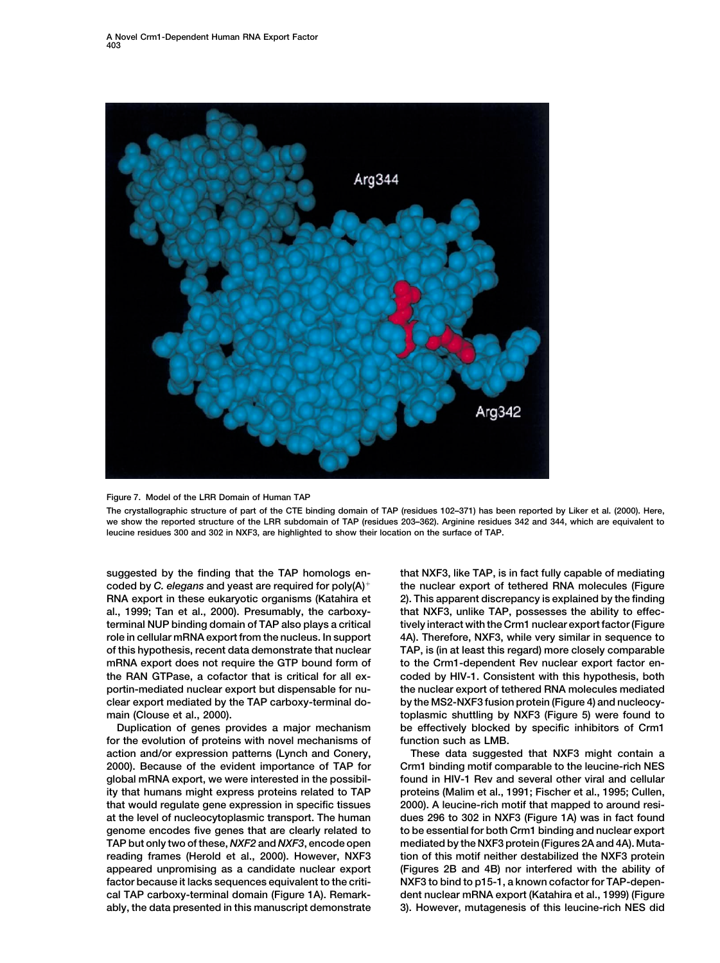



**The crystallographic structure of part of the CTE binding domain of TAP (residues 102–371) has been reported by Liker et al. (2000). Here, we show the reported structure of the LRR subdomain of TAP (residues 203–362). Arginine residues 342 and 344, which are equivalent to leucine residues 300 and 302 in NXF3, are highlighted to show their location on the surface of TAP.**

**coded by** *C. elegans* **and yeast are required for poly(A) the nuclear export of tethered RNA molecules (Figure RNA export in these eukaryotic organisms (Katahira et 2). This apparent discrepancy is explained by the finding al., 1999; Tan et al., 2000). Presumably, the carboxy- that NXF3, unlike TAP, possesses the ability to effecterminal NUP binding domain of TAP also plays a critical tively interact with the Crm1 nuclear export factor (Figure role in cellular mRNA export from the nucleus. In support 4A). Therefore, NXF3, while very similar in sequence to of this hypothesis, recent data demonstrate that nuclear TAP, is (in at least this regard) more closely comparable mRNA export does not require the GTP bound form of to the Crm1-dependent Rev nuclear export factor enthe RAN GTPase, a cofactor that is critical for all ex- coded by HIV-1. Consistent with this hypothesis, both portin-mediated nuclear export but dispensable for nu- the nuclear export of tethered RNA molecules mediated clear export mediated by the TAP carboxy-terminal do- by the MS2-NXF3 fusion protein (Figure 4) and nucleocy-**

**for the evolution of proteins with novel mechanisms of function such as LMB. action and/or expression patterns (Lynch and Conery, These data suggested that NXF3 might contain a**

**suggested by the finding that the TAP homologs en- that NXF3, like TAP, is in fact fully capable of mediating main (Clouse et al., 2000). toplasmic shuttling by NXF3 (Figure 5) were found to Duplication of genes provides a major mechanism be effectively blocked by specific inhibitors of Crm1**

**2000). Because of the evident importance of TAP for Crm1 binding motif comparable to the leucine-rich NES global mRNA export, we were interested in the possibil- found in HIV-1 Rev and several other viral and cellular ity that humans might express proteins related to TAP proteins (Malim et al., 1991; Fischer et al., 1995; Cullen, that would regulate gene expression in specific tissues 2000). A leucine-rich motif that mapped to around resiat the level of nucleocytoplasmic transport. The human dues 296 to 302 in NXF3 (Figure 1A) was in fact found genome encodes five genes that are clearly related to to be essential for both Crm1 binding and nuclear export TAP but only two of these,** *NXF2* **and** *NXF3***, encode open mediated by the NXF3 protein (Figures 2A and 4A). Muta**reading frames (Herold et al., 2000). However, NXF3 tion of this motif neither destabilized the NXF3 protein **appeared unpromising as a candidate nuclear export (Figures 2B and 4B) nor interfered with the ability of factor because it lacks sequences equivalent to the criti- NXF3 to bind to p15-1, a known cofactor for TAP-depencal TAP carboxy-terminal domain (Figure 1A). Remark- dent nuclear mRNA export (Katahira et al., 1999) (Figure ably, the data presented in this manuscript demonstrate 3). However, mutagenesis of this leucine-rich NES did**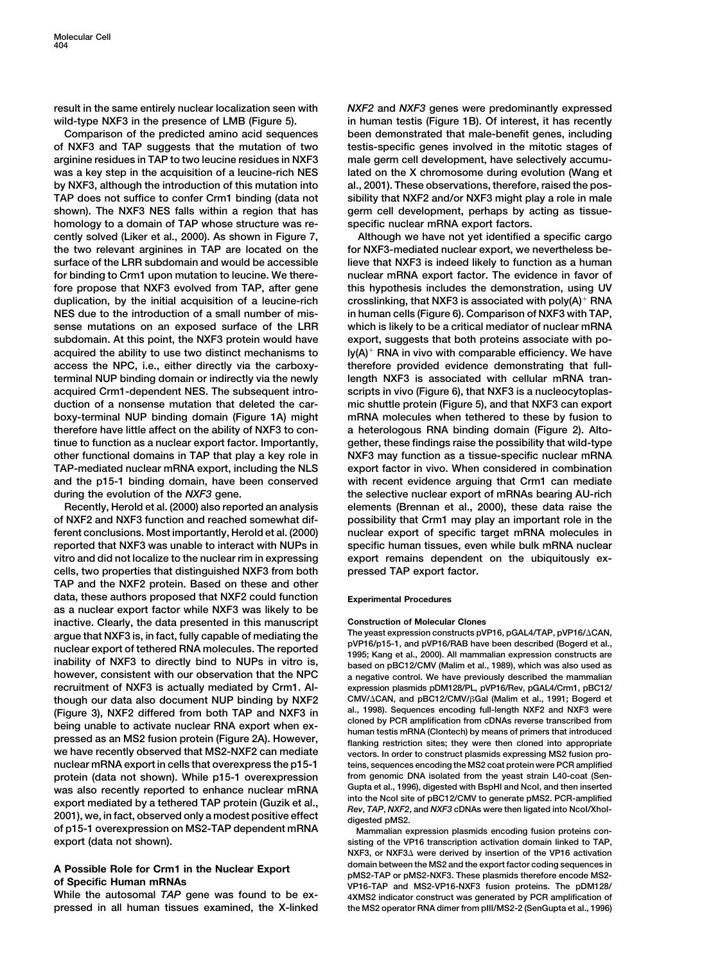**of NXF3 and TAP suggests that the mutation of two testis-specific genes involved in the mitotic stages of arginine residues in TAP to two leucine residues in NXF3 male germ cell development, have selectively accumuwas a key step in the acquisition of a leucine-rich NES lated on the X chromosome during evolution (Wang et by NXF3, although the introduction of this mutation into al., 2001). These observations, therefore, raised the pos-TAP does not suffice to confer Crm1 binding (data not sibility that NXF2 and/or NXF3 might play a role in male** shown). The NXF3 NES falls within a region that has germ cell development, perhaps by acting as tissue**homology to a domain of TAP whose structure was re- specific nuclear mRNA export factors. cently solved (Liker et al., 2000). As shown in Figure 7, Although we have not yet identified a specific cargo the two relevant arginines in TAP are located on the for NXF3-mediated nuclear export, we nevertheless besurface of the LRR subdomain and would be accessible lieve that NXF3 is indeed likely to function as a human for binding to Crm1 upon mutation to leucine. We there- nuclear mRNA export factor. The evidence in favor of fore propose that NXF3 evolved from TAP, after gene this hypothesis includes the demonstration, using UV** duplication, by the initial acquisition of a leucine-rich crosslinking, that NXF3 is associated with poly(A)<sup>+</sup> RNA **NES due to the introduction of a small number of mis- in human cells (Figure 6). Comparison of NXF3 with TAP, sense mutations on an exposed surface of the LRR which is likely to be a critical mediator of nuclear mRNA** subdomain. At this point, the NXF3 protein would have export, suggests that both proteins associate with po**ly(A) acquired the ability to use two distinct mechanisms to RNA in vivo with comparable efficiency. We have access the NPC, i.e., either directly via the carboxy- therefore provided evidence demonstrating that fullterminal NUP binding domain or indirectly via the newly length NXF3 is associated with cellular mRNA tranacquired Crm1-dependent NES. The subsequent intro- scripts in vivo (Figure 6), that NXF3 is a nucleocytoplasduction of a nonsense mutation that deleted the car- mic shuttle protein (Figure 5), and that NXF3 can export boxy-terminal NUP binding domain (Figure 1A) might mRNA molecules when tethered to these by fusion to therefore have little affect on the ability of NXF3 to con- a heterologous RNA binding domain (Figure 2). Altotinue to function as a nuclear export factor. Importantly, gether, these findings raise the possibility that wild-type other functional domains in TAP that play a key role in NXF3 may function as a tissue-specific nuclear mRNA TAP-mediated nuclear mRNA export, including the NLS export factor in vivo. When considered in combination and the p15-1 binding domain, have been conserved with recent evidence arguing that Crm1 can mediate during the evolution of the** *NXF3* **gene. the selective nuclear export of mRNAs bearing AU-rich**

**of NXF2 and NXF3 function and reached somewhat dif- possibility that Crm1 may play an important role in the ferent conclusions. Most importantly, Herold et al. (2000) nuclear export of specific target mRNA molecules in reported that NXF3 was unable to interact with NUPs in specific human tissues, even while bulk mRNA nuclear vitro and did not localize to the nuclear rim in expressing export remains dependent on the ubiquitously excells, two properties that distinguished NXF3 from both pressed TAP export factor. TAP and the NXF2 protein. Based on these and other data, these authors proposed that NXF2 could function Experimental Procedures as a nuclear export factor while NXF3 was likely to be inactive. Clearly, the data presented in this manuscript Construction of Molecular Clones** argue that NXF3 is, in fact, fully capable of mediating the<br>nuclear export of tethered RNA molecules. The reported<br>inability of NXF3 to directly bind to NUPs in vitro is,<br>has also used on pBC12/CMN (Malim et al., 2000). Al **however, consistent with our observation that the NPC a negative control. We have previously described the mammalian CMV/**<sup>1</sup>CAN, and pBC12/CMV/<sub>1</sub>Gal (Malim et al., 1991; Bogerd et al., 1991; Bogerd et al., 1991; Bogerd et al., 1991; Bogerd et al., 1991; Bogerd et al., 1991; Bogerd et al., 1998); Sequences encoding full-length NXF2 and (Figure 3), NXF2 differed from both TAP and NXF3 in<br>being unable to activate nuclear RNA export when ex-<br>pressed as an MS2 fusion protein (Figure 2A). However,<br>we have recently observed that MS2-NXF2 can mediate<br>we change **nuclear mRNA export in cells that overexpress the p15-1 teins, sequences encoding the MS2 coat protein were PCR amplified protein (data not shown). While p15-1 overexpression from genomic DNA isolated from the yeast strain L40-coat (Senwas also recently reported to enhance nuclear mRNA Gupta et al., 1996), digested with BspHI and NcoI, and then inserted** export mediated by a tethered TAP protein (Guzik et al.,<br>2001), we, in fact, observed only a modest positive effect<br>of p15-1 overexpression on MS2-TAP dependent mRNA<br>Mammalian expression plasmids encoding fusion proteins c **export (data not shown). sisting of the VP16 transcription activation domain linked to TAP,**

While the autosomal *TAP* gene was found to be ex-<br>pressed in all human tissues examined, the X-linked<br>the MS2 operator RNA dimer from pll/MS2-2 (SenGupta et al., 1996)

**result in the same entirely nuclear localization seen with** *NXF2* **and** *NXF3* **genes were predominantly expressed wild-type NXF3 in the presence of LMB (Figure 5). in human testis (Figure 1B). Of interest, it has recently Comparison of the predicted amino acid sequences been demonstrated that male-benefit genes, including**

**Recently, Herold et al. (2000) also reported an analysis elements (Brennan et al., 2000), these data raise the**

expression plasmids pDM128/PL, pVP16/Rev, pGAL4/Crm1, pBC12/ vectors. In order to construct plasmids expressing MS2 fusion pro-

Mammalian expression plasmids encoding fusion proteins con-**NXF3, or NXF3 were derived by insertion of the VP16 activation** A Possible Role for Crm1 in the Nuclear Export<br>
of Specific Human mRNAs<br>
of Specific Human mRNAs<br>
of Specific Human mRNAs<br>
of Specific Human mRNAs **the MS2 operator RNA dimer from pIII/MS2-2 (SenGupta et al., 1996)**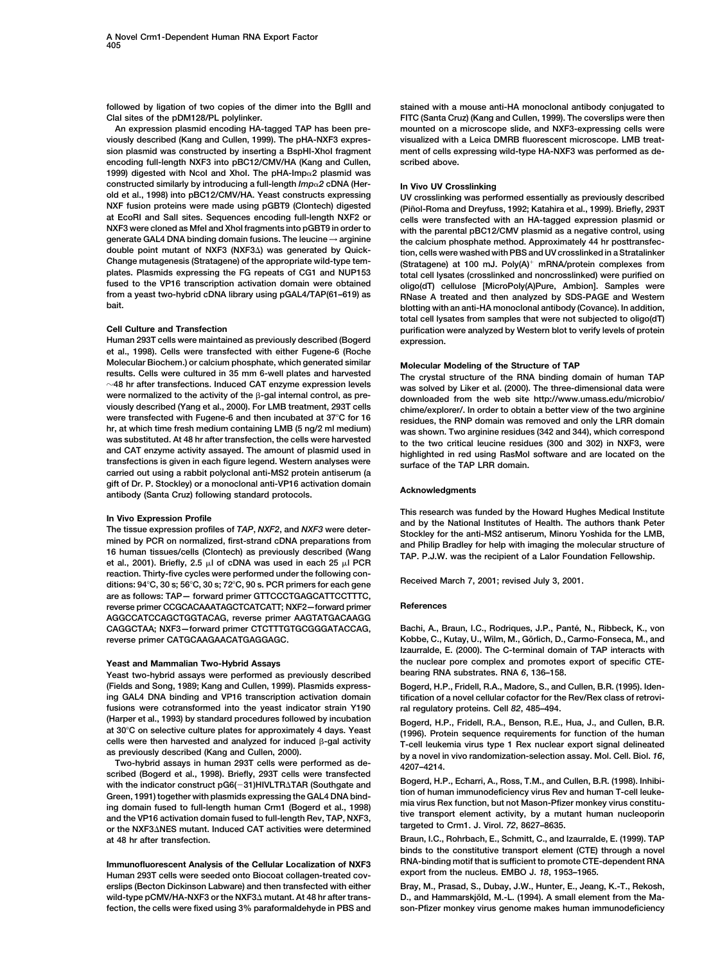**followed by ligation of two copies of the dimer into the BglII and stained with a mouse anti-HA monoclonal antibody conjugated to**

**viously described (Kang and Cullen, 1999). The pHA-NXF3 expres- visualized with a Leica DMRB fluorescent microscope. LMB treatsion plasmid was constructed by inserting a BspHI-XhoI fragment ment of cells expressing wild-type HA-NXF3 was performed as deencoding full-length NXF3 into pBC12/CMV/HA (Kang and Cullen, scribed above. 1999) digested with NcoI and XhoI. The pHA-Imp2 plasmid was constructed similarly by introducing a full-length** *Imp2* **cDNA (Her- In Vivo UV Crosslinking old et al., 1998) into pBC12/CMV/HA. Yeast constructs expressing UV crosslinking was performed essentially as previously described** generate GAL4 DNA binding domain fusions. The leucine → arginine the calcium phosphate method. Approximately 44 hr posttransfec-<br>
double point mutant of NXF3 (NXF3 $\Delta$ ) was generated by Quick-<br>
tion cells were washed with

**Human 293T cells were maintained as previously described (Bogerd expression. et al., 1998). Cells were transfected with either Fugene-6 (Roche** Molecular Biochem.) or calcium phosphate, which generated similar<br>
mesults. Cells were cultured in 35 mm 6-well plates and harvested<br>
meter transfections. Induced CAT enzyme expression levels<br>
were normalized to the activ **carried out using a rabbit polyclonal anti-MS2 protein antiserum (a gift of Dr. P. Stockley) or a monoclonal anti-VP16 activation domain Acknowledgments antibody (Santa Cruz) following standard protocols.**

**reaction. Thirty-five cycles were performed under the following con- Received March 7, 2001; revised July 3, 2001. ditions: 94C, 30 s; 56C, 30 s; 72C, 90 s. PCR primers for each gene are as follows: TAP— forward primer GTTCCCTGAGCATTCCTTTC, reverse primer CCGCACAAATAGCTCATCATT; NXF2—forward primer References AGGCCATCCAGCTGGTACAG, reverse primer AAGTATGACAAGG CAGGCTAA; NXF3—forward primer CTCTTTGTGCGGGATACCAG, Bachi, A., Braun, I.C., Rodriques, J.P., Pante´ , N., Ribbeck, K., von**

Yeast two-hybrid assays were performed as previously described **(Fields and Song, 1989; Kang and Cullen, 1999). Plasmids express- Bogerd, H.P., Fridell, R.A., Madore, S., and Cullen, B.R. (1995). Idenfusions were cotransformed into the yeast indicator strain Y190 ral regulatory proteins. Cell** *82***, 485–494.**

scribed (Bogerd et al., 1998). Briefly, 293T cells were transfected<br>with the indicator construct pG6(-31)HIVLTR $\triangle$ TAR (Southgate and<br>Green, 1991) together with plasmids expressing the GAL4 DNA bind-<br>ion of human immunodef **at 48 hr after transfection. Braun, I.C., Rohrbach, E., Schmitt, C., and Izaurralde, E. (1999). TAP**

**Human 293T cells were seeded onto Biocoat collagen-treated coverslips (Becton Dickinson Labware) and then transfected with either Bray, M., Prasad, S., Dubay, J.W., Hunter, E., Jeang, K.-T., Rekosh,** wild-type pCMV/HA-NXF3 or the NXF3 $\triangle$  mutant. At 48 hr after trans-<br>
D., and Hammarskjöld, M.-L. (1994). A small element from the Ma-

**ClaI sites of the pDM128/PL polylinker. FITC (Santa Cruz) (Kang and Cullen, 1999). The coverslips were then** mounted on a microscope slide, and NXF3-expressing cells were

NXF fusion proteins were made using pGBT9 (Clontech) digested<br>at EcoRI and Sall sites. Sequences encoding full-length NXF2 or and province transfected with an HA-tagged expression plasmid or **at EcoRI and SalI sites. Sequences encoding full-length NXF2 or cells were transfected with an HA-tagged expression plasmid or NXF3 were cloned as MfeI and XhoI fragments into pGBT9 in order to with the parental pBC12/CMV plasmid as a negative control, using double point mutant of NXF3 (NXF3) was generated by Quick- tion, cells were washed with PBS and UV crosslinked in a Stratalinker Change mutagenesis (Stratagene) of the appropriate wild-type tem- (Stratagene) at 100 mJ. Poly(A) mRNA/protein complexes from plates. Plasmids expressing the FG repeats of CG1 and NUP153 total cell lysates (crosslinked and noncrosslinked) were purified on fused to the VP16 transcription activation domain were obtained oligo(dT) cellulose [MicroPoly(A)Pure, Ambion]. Samples were from a yeast two-hybrid cDNA library using pGAL4/TAP(61–619) as RNase A treated and then analyzed by SDS-PAGE and Western bait. blotting with an anti-HA monoclonal antibody (Covance). In addition, total cell lysates from samples that were not subjected to oligo(dT) Cell Culture and Transfection purification were analyzed by Western blot to verify levels of protein**

In Vivo Expression Profile<br>The tissue expression profiles of TAP, NXF2, and NXF3 were deter-<br>mined by the National Institutes of Health. The authors thank Peter-<br>mined by PCR on normalized, first-strand cDNA preparations

**reverse primer CATGCAAGAACATGAGGAGC. Kobbe, C., Kutay, U., Wilm, M., Görlich, D., Carmo-Fonseca, M., and Izaurralde, E. (2000). The C-terminal domain of TAP interacts with Yeast and Mammalian Two-Hybrid Assays** the nuclear pore complex and promotes export of specific CTE-<br>
Yeast two-hybrid assays were performed as previously described bearing RNA substrates. RNA 6, 136–158.

tification of a novel cellular cofactor for the Rev/Rex class of retrovi-

(Harper et al., 1993) by standard procedures followed by incubation<br>at 30°C on selective culture plates for approximately 4 days. Yeast calls were then harvested and analyzed for induced  $\beta$ -gal activity<br>cells were then h

**binds to the constitutive transport element (CTE) through a novel RNA-binding motif that is sufficient to promote CTE-dependent RNA**<br>**Human 293T cells were seeded onto Biocost collagen-treated cov-** export from the nucleus. EMBO J. 18, 1953-1965.

**fection, the cells were fixed using 3% paraformaldehyde in PBS and son-Pfizer monkey virus genome makes human immunodeficiency**